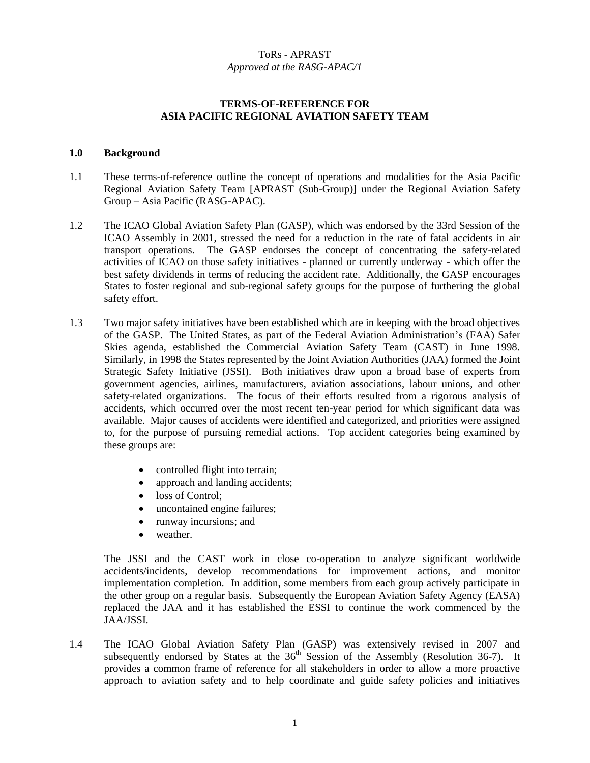## **TERMS-OF-REFERENCE FOR ASIA PACIFIC REGIONAL AVIATION SAFETY TEAM**

## **1.0 Background**

- 1.1 These terms-of-reference outline the concept of operations and modalities for the Asia Pacific Regional Aviation Safety Team [APRAST (Sub-Group)] under the Regional Aviation Safety Group – Asia Pacific (RASG-APAC).
- 1.2 The ICAO Global Aviation Safety Plan (GASP), which was endorsed by the 33rd Session of the ICAO Assembly in 2001, stressed the need for a reduction in the rate of fatal accidents in air transport operations. The GASP endorses the concept of concentrating the safety-related activities of ICAO on those safety initiatives - planned or currently underway - which offer the best safety dividends in terms of reducing the accident rate. Additionally, the GASP encourages States to foster regional and sub-regional safety groups for the purpose of furthering the global safety effort.
- 1.3 Two major safety initiatives have been established which are in keeping with the broad objectives of the GASP. The United States, as part of the Federal Aviation Administration's (FAA) Safer Skies agenda, established the Commercial Aviation Safety Team (CAST) in June 1998. Similarly, in 1998 the States represented by the Joint Aviation Authorities (JAA) formed the Joint Strategic Safety Initiative (JSSI). Both initiatives draw upon a broad base of experts from government agencies, airlines, manufacturers, aviation associations, labour unions, and other safety-related organizations. The focus of their efforts resulted from a rigorous analysis of accidents, which occurred over the most recent ten-year period for which significant data was available. Major causes of accidents were identified and categorized, and priorities were assigned to, for the purpose of pursuing remedial actions. Top accident categories being examined by these groups are:
	- controlled flight into terrain;
	- approach and landing accidents;
	- loss of Control:
	- uncontained engine failures;
	- runway incursions; and
	- weather.

The JSSI and the CAST work in close co-operation to analyze significant worldwide accidents/incidents, develop recommendations for improvement actions, and monitor implementation completion. In addition, some members from each group actively participate in the other group on a regular basis. Subsequently the European Aviation Safety Agency (EASA) replaced the JAA and it has established the ESSI to continue the work commenced by the JAA/JSSI.

1.4 The ICAO Global Aviation Safety Plan (GASP) was extensively revised in 2007 and subsequently endorsed by States at the  $36<sup>th</sup>$  Session of the Assembly (Resolution 36-7). It provides a common frame of reference for all stakeholders in order to allow a more proactive approach to aviation safety and to help coordinate and guide safety policies and initiatives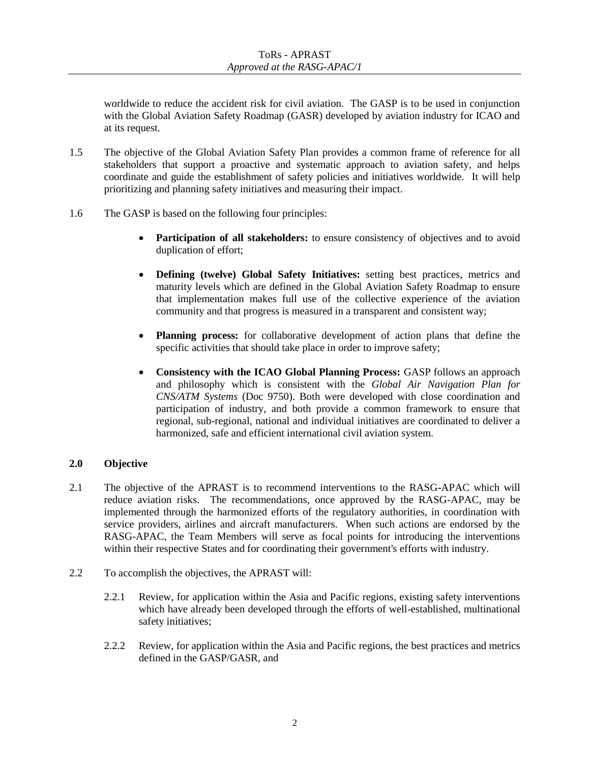worldwide to reduce the accident risk for civil aviation. The GASP is to be used in conjunction with the Global Aviation Safety Roadmap (GASR) developed by aviation industry for ICAO and at its request.

- 1.5 The objective of the Global Aviation Safety Plan provides a common frame of reference for all stakeholders that support a proactive and systematic approach to aviation safety, and helps coordinate and guide the establishment of safety policies and initiatives worldwide. It will help prioritizing and planning safety initiatives and measuring their impact.
- 1.6 The GASP is based on the following four principles:
	- **•** Participation of all stakeholders: to ensure consistency of objectives and to avoid duplication of effort;
	- **Defining (twelve) Global Safety Initiatives:** setting best practices, metrics and maturity levels which are defined in the Global Aviation Safety Roadmap to ensure that implementation makes full use of the collective experience of the aviation community and that progress is measured in a transparent and consistent way;
	- **Planning process:** for collaborative development of action plans that define the specific activities that should take place in order to improve safety;
	- **Consistency with the ICAO Global Planning Process:** GASP follows an approach and philosophy which is consistent with the *Global Air Navigation Plan for CNS/ATM Systems* (Doc 9750). Both were developed with close coordination and participation of industry, and both provide a common framework to ensure that regional, sub-regional, national and individual initiatives are coordinated to deliver a harmonized, safe and efficient international civil aviation system.

## **2.0 Objective**

- 2.1 The objective of the APRAST is to recommend interventions to the RASG-APAC which will reduce aviation risks. The recommendations, once approved by the RASG-APAC, may be implemented through the harmonized efforts of the regulatory authorities, in coordination with service providers, airlines and aircraft manufacturers. When such actions are endorsed by the RASG-APAC, the Team Members will serve as focal points for introducing the interventions within their respective States and for coordinating their government's efforts with industry.
- 2.2 To accomplish the objectives, the APRAST will:
	- 2.2.1 Review, for application within the Asia and Pacific regions, existing safety interventions which have already been developed through the efforts of well-established, multinational safety initiatives;
	- 2.2.2 Review, for application within the Asia and Pacific regions, the best practices and metrics defined in the GASP/GASR, and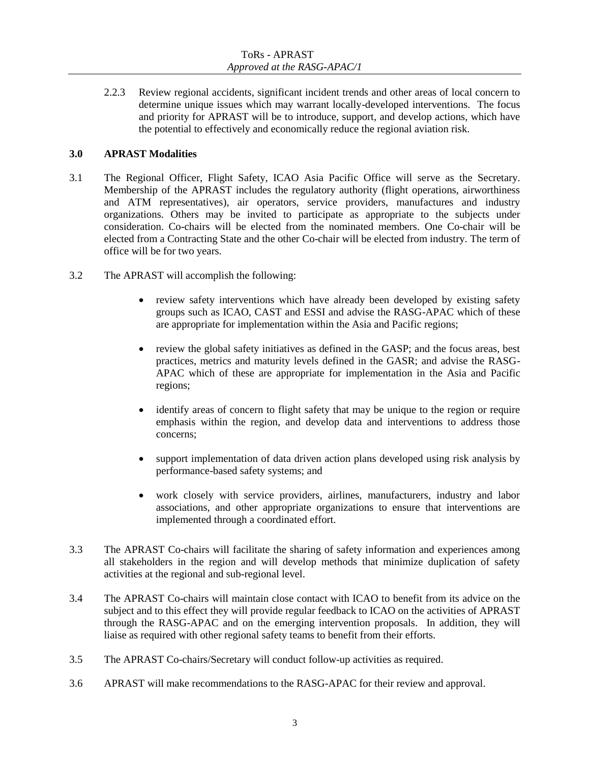2.2.3 Review regional accidents, significant incident trends and other areas of local concern to determine unique issues which may warrant locally-developed interventions. The focus and priority for APRAST will be to introduce, support, and develop actions, which have the potential to effectively and economically reduce the regional aviation risk.

## **3.0 APRAST Modalities**

- 3.1 The Regional Officer, Flight Safety, ICAO Asia Pacific Office will serve as the Secretary. Membership of the APRAST includes the regulatory authority (flight operations, airworthiness and ATM representatives), air operators, service providers, manufactures and industry organizations. Others may be invited to participate as appropriate to the subjects under consideration. Co-chairs will be elected from the nominated members. One Co-chair will be elected from a Contracting State and the other Co-chair will be elected from industry. The term of office will be for two years.
- 3.2 The APRAST will accomplish the following:
	- review safety interventions which have already been developed by existing safety groups such as ICAO, CAST and ESSI and advise the RASG-APAC which of these are appropriate for implementation within the Asia and Pacific regions;
	- review the global safety initiatives as defined in the GASP; and the focus areas, best practices, metrics and maturity levels defined in the GASR; and advise the RASG-APAC which of these are appropriate for implementation in the Asia and Pacific regions;
	- identify areas of concern to flight safety that may be unique to the region or require emphasis within the region, and develop data and interventions to address those concerns;
	- support implementation of data driven action plans developed using risk analysis by performance-based safety systems; and
	- work closely with service providers, airlines, manufacturers, industry and labor associations, and other appropriate organizations to ensure that interventions are implemented through a coordinated effort.
- 3.3 The APRAST Co-chairs will facilitate the sharing of safety information and experiences among all stakeholders in the region and will develop methods that minimize duplication of safety activities at the regional and sub-regional level.
- 3.4 The APRAST Co-chairs will maintain close contact with ICAO to benefit from its advice on the subject and to this effect they will provide regular feedback to ICAO on the activities of APRAST through the RASG-APAC and on the emerging intervention proposals. In addition, they will liaise as required with other regional safety teams to benefit from their efforts.
- 3.5 The APRAST Co-chairs/Secretary will conduct follow-up activities as required.
- 3.6 APRAST will make recommendations to the RASG-APAC for their review and approval.